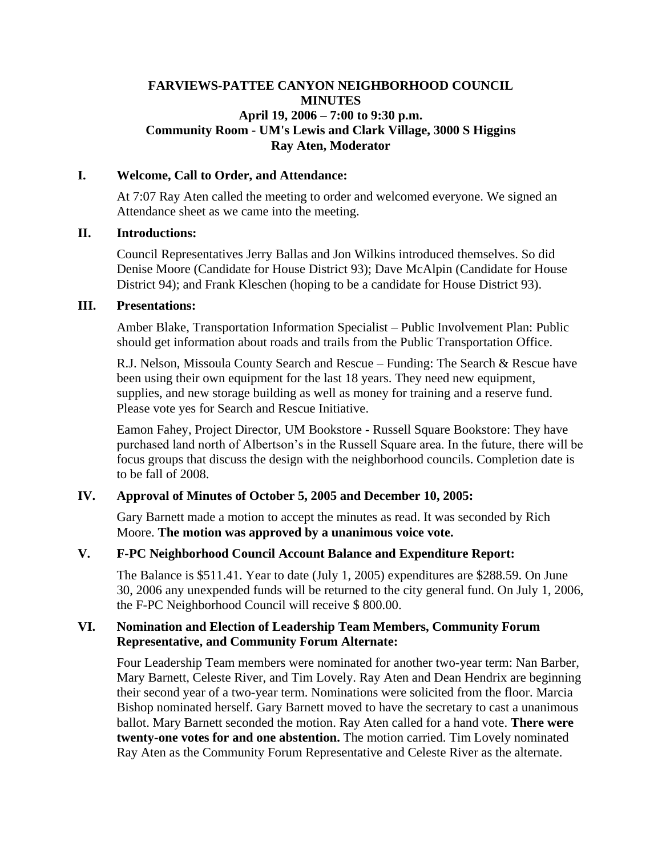## **FARVIEWS-PATTEE CANYON NEIGHBORHOOD COUNCIL MINUTES April 19, 2006 – 7:00 to 9:30 p.m. Community Room - UM's Lewis and Clark Village, 3000 S Higgins Ray Aten, Moderator**

### **I. Welcome, Call to Order, and Attendance:**

At 7:07 Ray Aten called the meeting to order and welcomed everyone. We signed an Attendance sheet as we came into the meeting.

### **II. Introductions:**

Council Representatives Jerry Ballas and Jon Wilkins introduced themselves. So did Denise Moore (Candidate for House District 93); Dave McAlpin (Candidate for House District 94); and Frank Kleschen (hoping to be a candidate for House District 93).

### **III. Presentations:**

Amber Blake, Transportation Information Specialist – Public Involvement Plan: Public should get information about roads and trails from the Public Transportation Office.

R.J. Nelson, Missoula County Search and Rescue – Funding: The Search & Rescue have been using their own equipment for the last 18 years. They need new equipment, supplies, and new storage building as well as money for training and a reserve fund. Please vote yes for Search and Rescue Initiative.

Eamon Fahey, Project Director, UM Bookstore - Russell Square Bookstore: They have purchased land north of Albertson's in the Russell Square area. In the future, there will be focus groups that discuss the design with the neighborhood councils. Completion date is to be fall of 2008.

# **IV. Approval of Minutes of October 5, 2005 and December 10, 2005:**

Gary Barnett made a motion to accept the minutes as read. It was seconded by Rich Moore. **The motion was approved by a unanimous voice vote.**

# **V. F-PC Neighborhood Council Account Balance and Expenditure Report:**

The Balance is \$511.41. Year to date (July 1, 2005) expenditures are \$288.59. On June 30, 2006 any unexpended funds will be returned to the city general fund. On July 1, 2006, the F-PC Neighborhood Council will receive \$ 800.00.

## **VI. Nomination and Election of Leadership Team Members, Community Forum Representative, and Community Forum Alternate:**

Four Leadership Team members were nominated for another two-year term: Nan Barber, Mary Barnett, Celeste River, and Tim Lovely. Ray Aten and Dean Hendrix are beginning their second year of a two-year term. Nominations were solicited from the floor. Marcia Bishop nominated herself. Gary Barnett moved to have the secretary to cast a unanimous ballot. Mary Barnett seconded the motion. Ray Aten called for a hand vote. **There were twenty-one votes for and one abstention.** The motion carried. Tim Lovely nominated Ray Aten as the Community Forum Representative and Celeste River as the alternate.